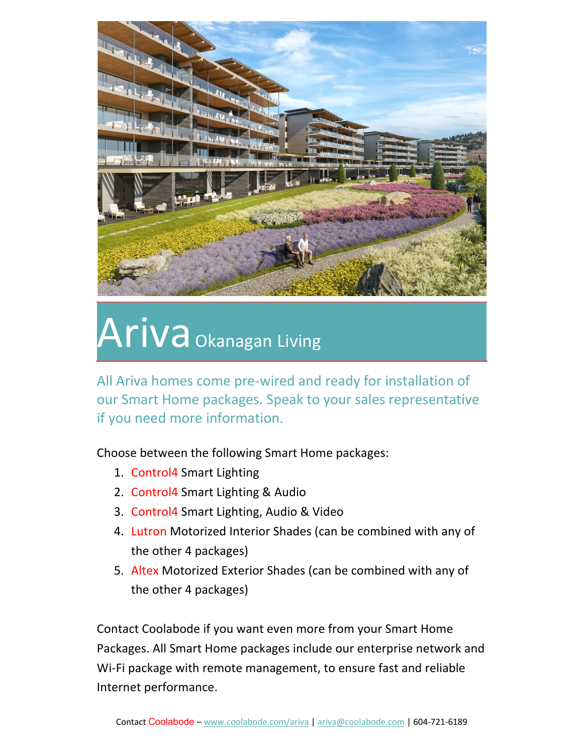

# Ariva Okanagan Living

All Ariva homes come pre-wired and ready for installation of our Smart Home packages. Speak to your sales representative if you need more information.

Choose between the following Smart Home packages:

- 1. Control4 Smart Lighting
- 2. Control4 Smart Lighting & Audio
- 3. Control4 Smart Lighting, Audio & Video
- 4. Lutron Motorized Interior Shades (can be combined with any of the other 4 packages)
- 5. Altex Motorized Exterior Shades (can be combined with any of the other 4 packages)

Contact Coolabode if you want even more from your Smart Home Packages. All Smart Home packages include our enterprise network and Wi-Fi package with remote management, to ensure fast and reliable Internet performance.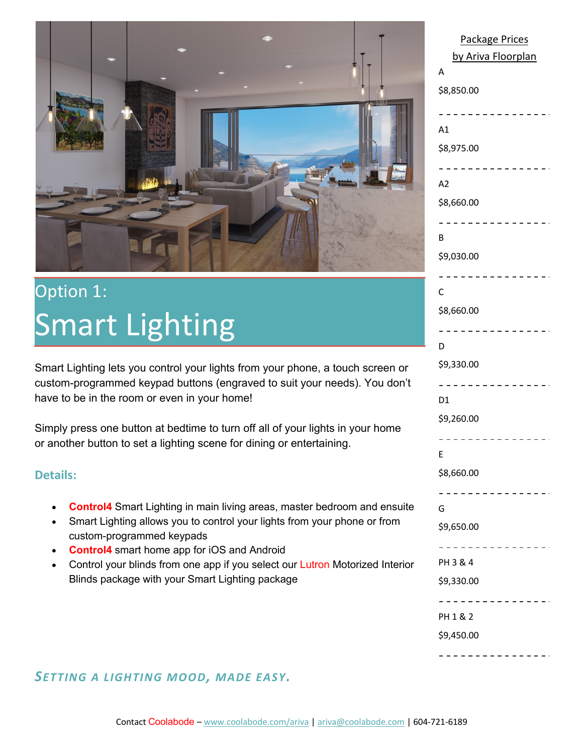

## Option 1: Smart Lighting

Smart Lighting lets you control your lights from your phone, a touch screen or custom-programmed keypad buttons (engraved to suit your needs). You don't have to be in the room or even in your home!

Simply press one button at bedtime to turn off all of your lights in your home or another button to set a lighting scene for dining or entertaining.

### **Details:**

- **Control4** Smart Lighting in main living areas, master bedroom and ensuite
- Smart Lighting allows you to control your lights from your phone or from custom-programmed keypads
- **Control4** smart home app for iOS and Android
- Control your blinds from one app if you select our Lutron Motorized Interior Blinds package with your Smart Lighting package

| <b>Package Prices</b> |
|-----------------------|
| by Ariva Floorplan    |
| A                     |
| \$8,850.00            |
|                       |
| A1                    |
| \$8,975.00            |
|                       |
| A2                    |
| \$8,660.00            |
|                       |
| B                     |
| \$9,030.00            |
|                       |
| Ċ                     |
| \$8,660.00            |
|                       |
| D                     |
| \$9,330.00            |
|                       |
| D1                    |
| \$9,260.00            |
|                       |
| E                     |
| \$8,660.00            |
|                       |
| G                     |
| \$9,650.00            |
|                       |
| PH 3 & 4              |
| \$9,330.00            |
|                       |
| PH 1 & 2              |
| \$9,450.00            |
|                       |

### *SETTING A LIGHTING MOOD, MADE EASY.*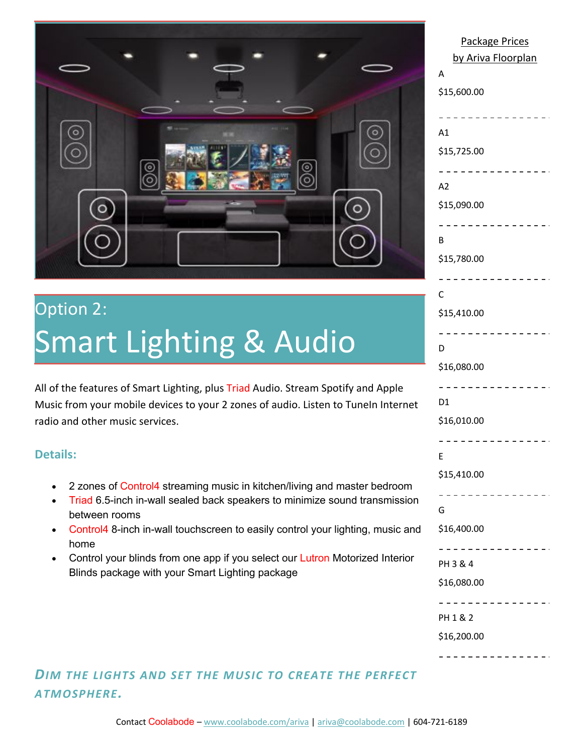

# Option 2: Smart Lighting & Audio

All of the features of Smart Lighting, plus Triad Audio. Stream Spotify and Apple Music from your mobile devices to your 2 zones of audio. Listen to TuneIn Internet radio and other music services.

### **Details:**

- 2 zones of Control4 streaming music in kitchen/living and master bedroom
- Triad 6.5-inch in-wall sealed back speakers to minimize sound transmission between rooms
- Control4 8-inch in-wall touchscreen to easily control your lighting, music and home
- Control your blinds from one app if you select our Lutron Motorized Interior Blinds package with your Smart Lighting package

### Package Prices by Ariva Floorplan A \$15,600.00 ----------------A1 \$15,725.00 - - - - - - - - - - - - - - $A<sub>2</sub>$ \$15,090.00 ---------------B \$15,780.00 ----------------C \$15,410.00 ----------------D \$16,080.00 ----------------D<sub>1</sub> \$16,010.00 ----------------E \$15,410.00 ----------------G \$16,400.00 . . . . . . . . . . . . . . . . PH 3 & 4 \$16,080.00 ----------------PH 1 & 2 \$16,200.00----------------

### *DIM THE LIGHTS AND SET THE MUSIC TO CREATE THE PERFECT ATMOSPHERE.*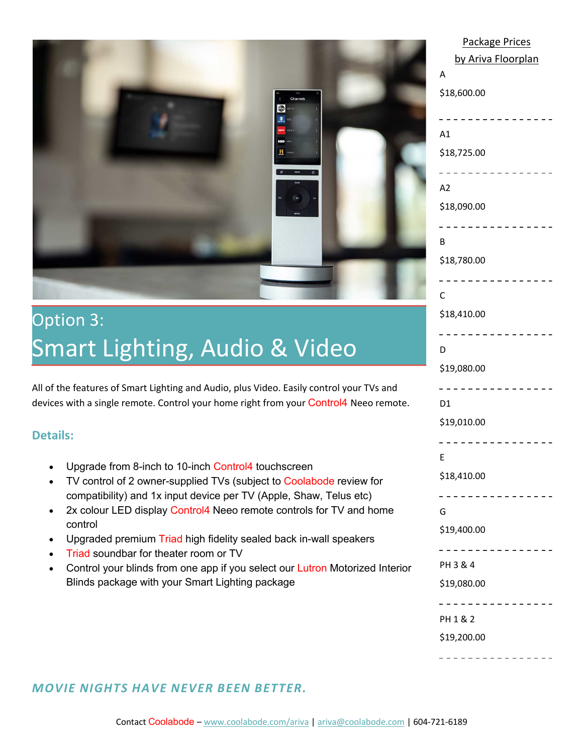

### Option 3: Smart Lighting, Audio & Video

All of the features of Smart Lighting and Audio, plus Video. Easily control your TVs and devices with a single remote. Control your home right from your Control4 Neeo remote.

### **Details:**

- Upgrade from 8-inch to 10-inch Control4 touchscreen
- TV control of 2 owner-supplied TVs (subject to Coolabode review for compatibility) and 1x input device per TV (Apple, Shaw, Telus etc)
- 2x colour LED display Control4 Neeo remote controls for TV and home control
- Upgraded premium Triad high fidelity sealed back in-wall speakers
- **Triad soundbar for theater room or TV**
- Control your blinds from one app if you select our Lutron Motorized Interior Blinds package with your Smart Lighting package

| <u>Package Prices</u><br>by Ariva Floorplan |
|---------------------------------------------|
| A                                           |
| \$18,600.00                                 |
|                                             |
| A1                                          |
| \$18,725.00                                 |
|                                             |
| A2                                          |
| \$18,090.00                                 |
| В                                           |
| \$18,780.00                                 |
|                                             |
| C                                           |
| \$18,410.00                                 |
|                                             |
| D                                           |
| \$19,080.00                                 |
|                                             |
| D1                                          |
| \$19,010.00                                 |
|                                             |
| E                                           |
| \$18,410.00                                 |
|                                             |
| G                                           |
| \$19,400.00                                 |
|                                             |
| PH 3 & 4                                    |
| \$19,080.00                                 |
|                                             |
| PH 1 & 2                                    |
| \$19,200.00                                 |
|                                             |

Package Prices

### *MOVIE NIGHTS HAVE NEVER BEEN BETTER.*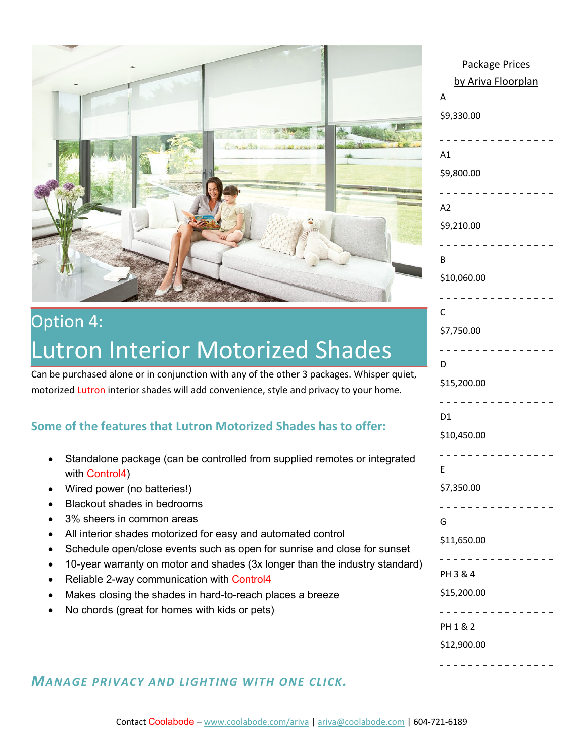

### Option 4: Lutron Interior Motorized Shades

Can be purchased alone or in conjunction with any of the other 3 packages. Whisper quiet, motorized Lutron interior shades will add convenience, style and privacy to your home.

### **Some of the features that Lutron Motorized Shades has to offer:**

- Standalone package (can be controlled from supplied remotes or integrated with Control4)
- Wired power (no batteries!)
- Blackout shades in bedrooms
- 3% sheers in common areas
- All interior shades motorized for easy and automated control
- Schedule open/close events such as open for sunrise and close for sunset
- 10-year warranty on motor and shades (3x longer than the industry standard)
- Reliable 2-way communication with Control4
- Makes closing the shades in hard-to-reach places a breeze
- No chords (great for homes with kids or pets)

| <b>Package Prices</b> |
|-----------------------|
| by Ariva Floorplan    |
| Α                     |
| \$9,330.00            |
|                       |
| A1                    |
| \$9,800.00            |
|                       |
| A2                    |
| \$9,210.00            |
|                       |
| В                     |
| \$10,060.00           |
|                       |
| C                     |
| \$7,750.00            |
|                       |
| D                     |
| \$15,200.00           |
|                       |
| D <sub>1</sub>        |
| \$10,450.00           |
|                       |
| E                     |
| \$7,350.00            |
|                       |
| G                     |
| \$11,650.00           |
|                       |
| PH 3 & 4              |
| \$15,200.00           |
|                       |
| PH 1 & 2              |
| \$12,900.00           |
|                       |

### *MANAGE PRIVACY AND LIGHTING WITH ONE CLICK.*